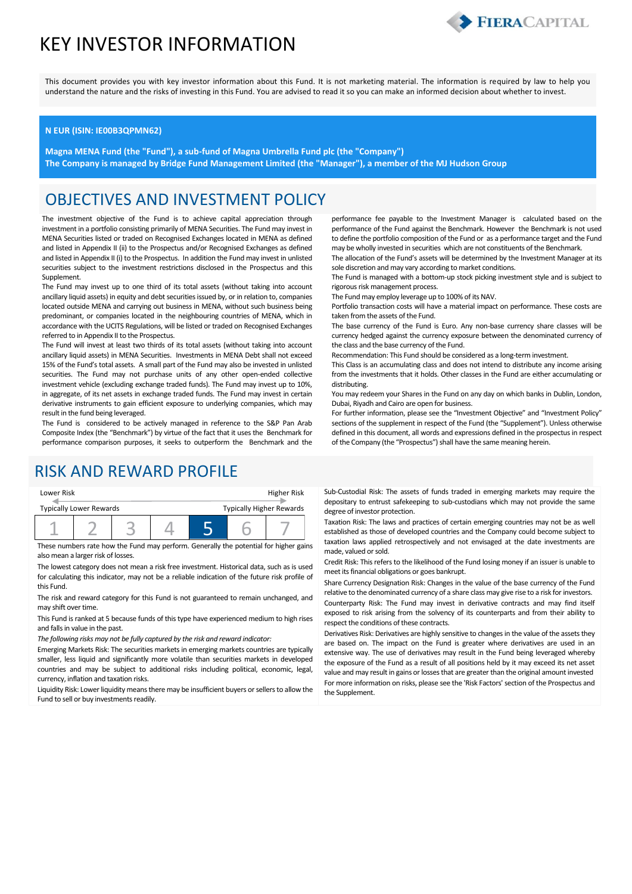# KEY INVESTOR INFORMATION



This document provides you with key investor information about this Fund. It is not marketing material. The information is required by law to help you understand the nature and the risks of investing in this Fund. You are advised to read it so you can make an informed decision about whether to invest.

#### **N EUR (ISIN: IE00B3QPMN62)**

**Magna MENA Fund (the "Fund"), a sub-fund of Magna Umbrella Fund plc (the "Company") The Company is managed by Bridge Fund Management Limited (the "Manager"), a member of the MJ Hudson Group**

### OBJECTIVES AND INVESTMENT POLICY

The investment objective of the Fund is to achieve capital appreciation through investment in a portfolio consisting primarily of MENA Securities. The Fund may invest in MENA Securities listed or traded on Recognised Exchanges located in MENA as defined and listed in Appendix II (ii) to the Prospectus and/or Recognised Exchanges as defined and listed in Appendix II (i) to the Prospectus. In addition the Fund may invest in unlisted securities subject to the investment restrictions disclosed in the Prospectus and this Supplement.

The Fund may invest up to one third of its total assets (without taking into account ancillary liquid assets) in equity and debt securities issued by, or in relation to, companies located outside MENA and carrying out business in MENA, without such business being predominant, or companies located in the neighbouring countries of MENA, which in accordance with the UCITS Regulations, will be listed or traded on Recognised Exchanges referred to in Appendix II to the Prospectus.

The Fund will invest at least two thirds of its total assets (without taking into account ancillary liquid assets) in MENA Securities. Investments in MENA Debt shall not exceed 15% of the Fund's total assets. A small part of the Fund may also be invested in unlisted securities. The Fund may not purchase units of any other open-ended collective investment vehicle (excluding exchange traded funds). The Fund may invest up to 10%, in aggregate, of its net assets in exchange traded funds. The Fund may invest in certain derivative instruments to gain efficient exposure to underlying companies, which may result in the fund being leveraged.

The Fund is considered to be actively managed in reference to the S&P Pan Arab Composite Index (the "Benchmark") by virtue of the fact that it uses the Benchmark for performance comparison purposes, it seeks to outperform the Benchmark and the

## RISK AND REWARD PROFILE

| Lower Risk                                                        |  |  |  | Higher Risk |  |  |
|-------------------------------------------------------------------|--|--|--|-------------|--|--|
| <b>Typically Higher Rewards</b><br><b>Typically Lower Rewards</b> |  |  |  |             |  |  |
|                                                                   |  |  |  |             |  |  |

These numbers rate how the Fund may perform. Generally the potential for higher gains also mean a larger risk of losses.

The lowest category does not mean a risk free investment. Historical data, such as is used for calculating this indicator, may not be a reliable indication of the future risk profile of this Fund.

The risk and reward category for this Fund is not guaranteed to remain unchanged, and may shift over time.

This Fund is ranked at 5 because funds of this type have experienced medium to high rises and falls in value in the past.

*The following risks may not be fully captured by the risk and reward indicator:*

Emerging Markets Risk: The securities markets in emerging markets countries are typically smaller, less liquid and significantly more volatile than securities markets in developed countries and may be subject to additional risks including political, economic, legal, currency, inflation and taxation risks.

Liquidity Risk: Lower liquidity means there may be insufficient buyers or sellers to allow the Fund to sell or buy investments readily.

performance fee payable to the Investment Manager is calculated based on the performance of the Fund against the Benchmark. However the Benchmark is not used to define the portfolio composition of the Fund or as a performance target and the Fund may be wholly invested in securities which are not constituents of the Benchmark.

The allocation of the Fund's assets will be determined by the Investment Manager at its sole discretion and may vary according to market conditions.

The Fund is managed with a bottom-up stock picking investment style and is subject to rigorous risk management process.

The Fund may employ leverage up to 100% of its NAV.

Portfolio transaction costs will have a material impact on performance. These costs are taken from the assets of the Fund.

The base currency of the Fund is Euro. Any non-base currency share classes will be currency hedged against the currency exposure between the denominated currency of the class and the base currency of the Fund.

Recommendation: This Fund should be considered as a long-term investment.

This Class is an accumulating class and does not intend to distribute any income arising from the investments that it holds. Other classes in the Fund are either accumulating or distributing.

You may redeem your Shares in the Fund on any day on which banks in Dublin, London, Dubai, Riyadh and Cairo are open for business.

For further information, please see the "Investment Objective" and "Investment Policy" sections of the supplement in respect of the Fund (the "Supplement"). Unless otherwise defined in this document, all words and expressions defined in the prospectus in respect of the Company (the "Prospectus") shall have the same meaning herein.

Sub-Custodial Risk: The assets of funds traded in emerging markets may require the depositary to entrust safekeeping to sub-custodians which may not provide the same degree of investor protection.

Taxation Risk: The laws and practices of certain emerging countries may not be as well established as those of developed countries and the Company could become subject to taxation laws applied retrospectively and not envisaged at the date investments are made, valued or sold.

Credit Risk: This refers to the likelihood of the Fund losing money if an issuer is unable to meet its financial obligations or goes bankrupt.

Share Currency Designation Risk: Changes in the value of the base currency of the Fund relative to the denominated currency of a share class may give rise to a risk for investors.

Counterparty Risk: The Fund may invest in derivative contracts and may find itself exposed to risk arising from the solvency of its counterparts and from their ability to respect the conditions of these contracts.

Derivatives Risk: Derivatives are highly sensitive to changes in the value of the assets they are based on. The impact on the Fund is greater where derivatives are used in an extensive way. The use of derivatives may result in the Fund being leveraged whereby the exposure of the Fund as a result of all positions held by it may exceed its net asset value and may result in gains or losses that are greater than the original amount invested For more information on risks, please see the 'Risk Factors' section of the Prospectus and the Supplement.